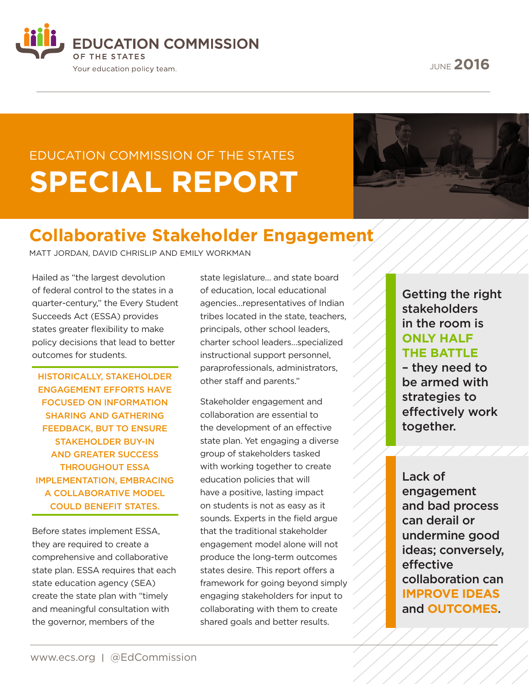**EDUCATION COMMISSION** OF THE STATES Your education policy team.

JUNE **2016**

# EDUCATION COMMISSION OF THE STATES **SPECIAL REPORT**



## **Collaborative Stakeholder Engagement**

MATT JORDAN, DAVID CHRISLIP AND EMILY WORKMAN

Hailed as "the largest devolution of federal control to the states in a quarter-century," the Every Student Succeeds Act (ESSA) provides states greater flexibility to make policy decisions that lead to better outcomes for students.

HISTORICALLY, STAKEHOLDER ENGAGEMENT EFFORTS HAVE FOCUSED ON INFORMATION SHARING AND GATHERING FEEDBACK, BUT TO ENSURE STAKEHOLDER BUY-IN AND GREATER SUCCESS THROUGHOUT ESSA IMPLEMENTATION, EMBRACING A COLLABORATIVE MODEL COULD BENEFIT STATES.

Before states implement ESSA, they are required to create a comprehensive and collaborative state plan. ESSA requires that each state education agency (SEA) create the state plan with "timely and meaningful consultation with the governor, members of the

state legislature… and state board of education, local educational agencies…representatives of Indian tribes located in the state, teachers, principals, other school leaders, charter school leaders…specialized instructional support personnel, paraprofessionals, administrators, other staff and parents."

Stakeholder engagement and collaboration are essential to the development of an effective state plan. Yet engaging a diverse group of stakeholders tasked with working together to create education policies that will have a positive, lasting impact on students is not as easy as it sounds. Experts in the field argue that the traditional stakeholder engagement model alone will not produce the long-term outcomes states desire. This report offers a framework for going beyond simply engaging stakeholders for input to collaborating with them to create shared goals and better results.

Getting the right stakeholders in the room is **ONLY HALF THE BATTLE**

– they need to be armed with strategies to effectively work together.

Lack of engagement and bad process can derail or undermine good ideas; conversely, effective collaboration can **IMPROVE IDEAS** and **OUTCOMES**.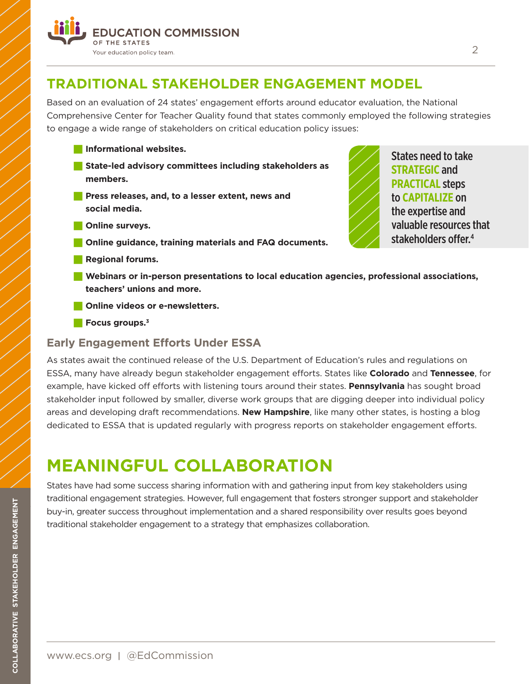

## **TRADITIONAL STAKEHOLDER ENGAGEMENT MODEL**

Based on an evaluation of 24 states' engagement efforts around educator evaluation, the National Comprehensive Center for Teacher Quality found that states commonly employed the following strategies to engage a wide range of stakeholders on critical education policy issues:

- **State-led advisory committees including stakeholders as members.**
- **Press releases, and, to a lesser extent, news and social media.**
- **N** Online surveys.

**Informational websites.** 

- $\blacksquare$  Online guidance, training materials and FAQ documents.
- **Regional forums.**



- **D** Online videos or e-newsletters.
- **Focus groups.**<sup>3</sup>

#### **Early Engagement Efforts Under ESSA**

As states await the continued release of the U.S. Department of Education's rules and regulations on ESSA, many have already begun stakeholder engagement efforts. States like **Colorado** and **Tennessee**, for example, have kicked off efforts with listening tours around their states. **Pennsylvania** has sought broad stakeholder input followed by smaller, diverse work groups that are digging deeper into individual policy areas and developing draft recommendations. **New Hampshire**, like many other states, is hosting a blog dedicated to ESSA that is updated regularly with progress reports on stakeholder engagement efforts.

## **MEANINGFUL COLLABORATION**

States have had some success sharing information with and gathering input from key stakeholders using traditional engagement strategies. However, full engagement that fosters stronger support and stakeholder buy-in, greater success throughout implementation and a shared responsibility over results goes beyond traditional stakeholder engagement to a strategy that emphasizes collaboration.

**COLLABORATIVE STAKEHOLDER ENGAGEMENT**

COLLABORATIVE STAKEHOLDER ENGAGEMENT

States need to take **STRATEGIC** and **PRACTICAL** steps to **CAPITALIZE** on the expertise and

valuable resources that stakeholders offer.4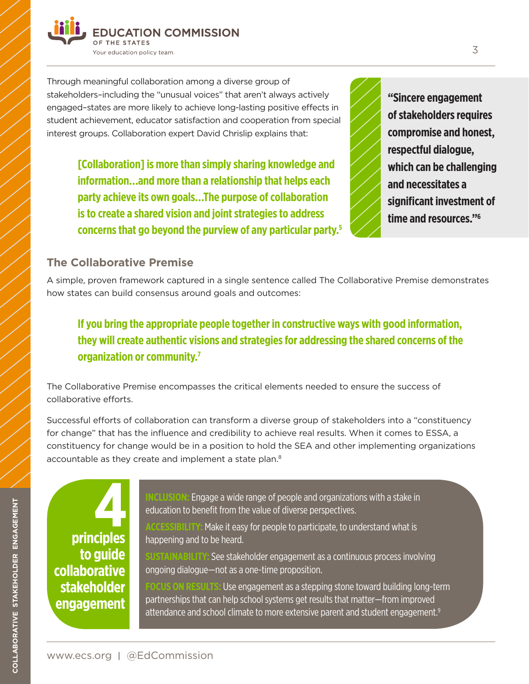

Through meaningful collaboration among a diverse group of stakeholders–including the "unusual voices" that aren't always actively engaged–states are more likely to achieve long-lasting positive effects in student achievement, educator satisfaction and cooperation from special interest groups. Collaboration expert David Chrislip explains that:

> **[Collaboration] is more than simply sharing knowledge and information…and more than a relationship that helps each party achieve its own goals…The purpose of collaboration is to create a shared vision and joint strategies to address concerns that go beyond the purview of any particular party.5**

**"Sincere engagement of stakeholders requires compromise and honest, respectful dialogue, which can be challenging and necessitates a significant investment of time and resources."6**

#### **The Collaborative Premise**

A simple, proven framework captured in a single sentence called The Collaborative Premise demonstrates how states can build consensus around goals and outcomes:

### **If you bring the appropriate people together in constructive ways with good information, they will create authentic visions and strategies for addressing the shared concerns of the organization or community.7**

The Collaborative Premise encompasses the critical elements needed to ensure the success of collaborative efforts.

Successful efforts of collaboration can transform a diverse group of stakeholders into a "constituency for change" that has the influence and credibility to achieve real results. When it comes to ESSA, a constituency for change would be in a position to hold the SEA and other implementing organizations accountable as they create and implement a state plan.<sup>8</sup>

**principles to guide collaborative stakeholder engagement**

**INCLUSION:** Engage a wide range of people and organizations with a stake in education to benefit from the value of diverse perspectives.

**ACCESSIBILITY:** Make it easy for people to participate, to understand what is happening and to be heard.

**SINABILITY:** See stakeholder engagement as a continuous process involving ongoing dialogue—not as a one-time proposition.

**FOCUS ON RESULTS:** Use engagement as a stepping stone toward building long-term partnerships that can help school systems get results that matter—from improved attendance and school climate to more extensive parent and student engagement.<sup>9</sup>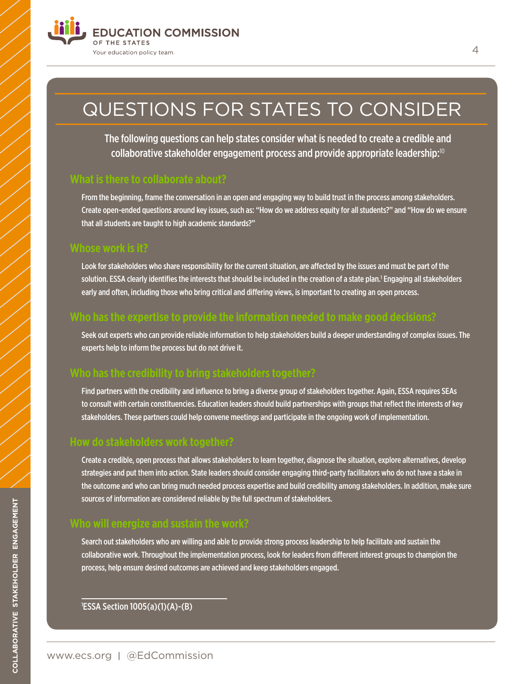

## QUESTIONS FOR STATES TO CONSIDER

The following questions can help states consider what is needed to create a credible and collaborative stakeholder engagement process and provide appropriate leadership:<sup>10</sup>

#### **What is there to collaborate about?**

From the beginning, frame the conversation in an open and engaging way to build trust in the process among stakeholders. Create open-ended questions around key issues, such as: "How do we address equity for all students?" and "How do we ensure that all students are taught to high academic standards?"

#### **Whose work is it?**

Look for stakeholders who share responsibility for the current situation, are affected by the issues and must be part of the solution. ESSA clearly identifies the interests that should be included in the creation of a state plan.' Engaging all stakeholders early and often, including those who bring critical and differing views, is important to creating an open process.

### **Who has the expertise to provide the information needed to make good decisions?**

Seek out experts who can provide reliable information to help stakeholders build a deeper understanding of complex issues. The experts help to inform the process but do not drive it.

### **Who has the credibility to bring stakeholders together?**

Find partners with the credibility and influence to bring a diverse group of stakeholders together. Again, ESSA requires SEAs to consult with certain constituencies. Education leaders should build partnerships with groups that reflect the interests of key stakeholders. These partners could help convene meetings and participate in the ongoing work of implementation.

#### **How do stakeholders work together?**

Create a credible, open process that allows stakeholders to learn together, diagnose the situation, explore alternatives, develop strategies and put them into action. State leaders should consider engaging third-party facilitators who do not have a stake in the outcome and who can bring much needed process expertise and build credibility among stakeholders. In addition, make sure sources of information are considered reliable by the full spectrum of stakeholders.

#### **Who will energize and sustain the work?**

Search out stakeholders who are willing and able to provide strong process leadership to help facilitate and sustain the collaborative work. Throughout the implementation process, look for leaders from different interest groups to champion the process, help ensure desired outcomes are achieved and keep stakeholders engaged.

1 ESSA Section 1005(a)(1)(A)-(B)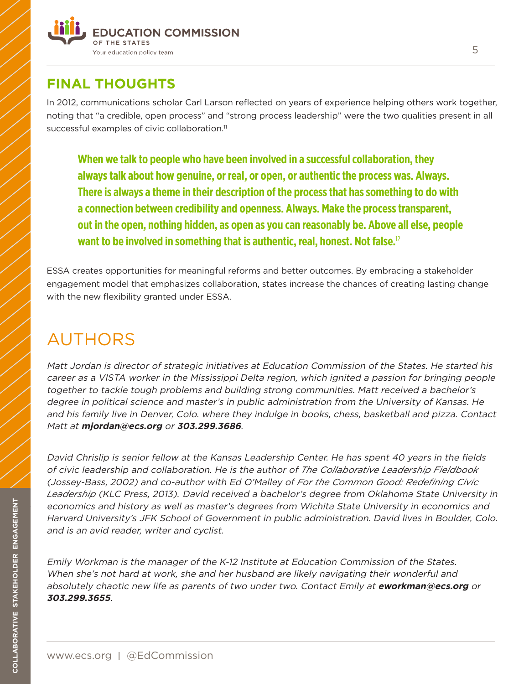

## **FINAL THOUGHTS**

In 2012, communications scholar Carl Larson reflected on years of experience helping others work together, noting that "a credible, open process" and "strong process leadership" were the two qualities present in all successful examples of civic collaboration.<sup>11</sup>

**When we talk to people who have been involved in a successful collaboration, they always talk about how genuine, or real, or open, or authentic the process was. Always. There is always a theme in their description of the process that has something to do with a connection between credibility and openness. Always. Make the process transparent, out in the open, nothing hidden, as open as you can reasonably be. Above all else, people want to be involved in something that is authentic, real, honest. Not false.**<sup>12</sup>

ESSA creates opportunities for meaningful reforms and better outcomes. By embracing a stakeholder engagement model that emphasizes collaboration, states increase the chances of creating lasting change with the new flexibility granted under ESSA.

## AUTHORS

Matt Jordan is director of strategic initiatives at Education Commission of the States. He started his career as a VISTA worker in the Mississippi Delta region, which ignited a passion for bringing people together to tackle tough problems and building strong communities. Matt received a bachelor's degree in political science and master's in public administration from the University of Kansas. He and his family live in Denver, Colo. where they indulge in books, chess, basketball and pizza. Contact Matt at **mjordan@ecs.org** or **303.299.3686**.

David Chrislip is senior fellow at the Kansas Leadership Center. He has spent 40 years in the fields of civic leadership and collaboration. He is the author of *The Collaborative Leadership Fieldbook*  (Jossey-Bass, 2002) and co-author with Ed O'Malley of *For the Common Good: Redefining Civic Leadership* (KLC Press, 2013). David received a bachelor's degree from Oklahoma State University in economics and history as well as master's degrees from Wichita State University in economics and Harvard University's JFK School of Government in public administration. David lives in Boulder, Colo. and is an avid reader, writer and cyclist.

Emily Workman is the manager of the K-12 Institute at Education Commission of the States. When she's not hard at work, she and her husband are likely navigating their wonderful and absolutely chaotic new life as parents of two under two. Contact Emily at **eworkman@ecs.org** or **303.299.3655**.